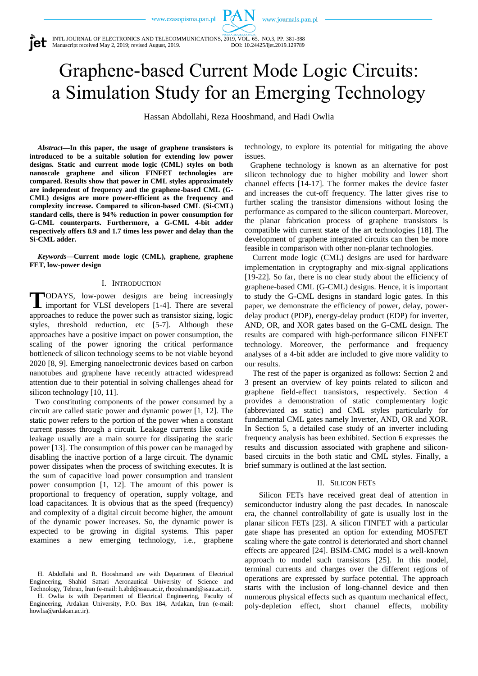www.journals.pan.pl

INTL JOURNAL OF ELECTRONICS AND TELECOMMUNICATIONS, 2019, VOL. 65, NO.3, PP. 381-388 Manuscript received May 2, 2019; revised August, 2019. DOI: 10.24425/ijet.2019.129789

# Graphene-based Current Mode Logic Circuits: a Simulation Study for an Emerging Technology

PAN

Hassan Abdollahi, Reza Hooshmand, and Hadi Owlia

*Abstract***—In this paper, the usage of graphene transistors is introduced to be a suitable solution for extending low power designs. Static and current mode logic (CML) styles on both nanoscale graphene and silicon FINFET technologies are compared. Results show that power in CML styles approximately are independent of frequency and the graphene-based CML (G-CML) designs are more power-efficient as the frequency and complexity increase. Compared to silicon-based CML (Si-CML) standard cells, there is 94% reduction in power consumption for G-CML counterparts. Furthermore, a G-CML 4-bit adder respectively offers 8.9 and 1.7 times less power and delay than the Si-CML adder.**

*Keywords***—Current mode logic (CML), graphene, graphene FET, low-power design**

# I. INTRODUCTION

ODAYS, low-power designs are being increasingly TODAYS, low-power designs are being increasingly important for VLSI developers [1-4]. There are several approaches to reduce the power such as transistor sizing, logic styles, threshold reduction, etc [5-7]. Although these approaches have a positive impact on power consumption, the scaling of the power ignoring the critical performance bottleneck of silicon technology seems to be not viable beyond 2020 [8, 9]. Emerging nanoelectronic devices based on carbon nanotubes and graphene have recently attracted widespread attention due to their potential in solving challenges ahead for silicon technology [10, 11].

Two constituting components of the power consumed by a circuit are called static power and dynamic power [1, 12]. The static power refers to the portion of the power when a constant current passes through a circuit. Leakage currents like oxide leakage usually are a main source for dissipating the static power [13]. The consumption of this power can be managed by disabling the inactive portion of a large circuit. The dynamic power dissipates when the process of switching executes. It is the sum of capacitive load power consumption and transient power consumption [1, 12]. The amount of this power is proportional to frequency of operation, supply voltage, and load capacitances. It is obvious that as the speed (frequency) and complexity of a digital circuit become higher, the amount of the dynamic power increases. So, the dynamic power is expected to be growing in digital systems. This paper examines a new emerging technology, i.e., graphene

H. Abdollahi and R. Hooshmand are with Department of Electrical Engineering, Shahid Sattari Aeronautical University of Science and Technology, Tehran, Iran (e-mail: h.abd@ssau.ac.ir, rhooshmand@ssau.ac.ir).

H. Owlia is with Department of Electrical Engineering, Faculty of Engineering, Ardakan University, P.O. Box 184, Ardakan, Iran (e-mail: howlia@ardakan.ac.ir).

technology, to explore its potential for mitigating the above issues.

Graphene technology is known as an alternative for post silicon technology due to higher mobility and lower short channel effects [14-17]. The former makes the device faster and increases the cut-off frequency. The latter gives rise to further scaling the transistor dimensions without losing the performance as compared to the silicon counterpart. Moreover, the planar fabrication process of graphene transistors is compatible with current state of the art technologies [18]. The development of graphene integrated circuits can then be more feasible in comparison with other non-planar technologies.

Current mode logic (CML) designs are used for hardware implementation in cryptography and mix-signal applications [19-22]. So far, there is no clear study about the efficiency of graphene-based CML (G-CML) designs. Hence, it is important to study the G-CML designs in standard logic gates. In this paper, we demonstrate the efficiency of power, delay, powerdelay product (PDP), energy-delay product (EDP) for inverter, AND, OR, and XOR gates based on the G-CML design. The results are compared with high-performance silicon FINFET technology. Moreover, the performance and frequency analyses of a 4-bit adder are included to give more validity to our results.

The rest of the paper is organized as follows: Section 2 and 3 present an overview of key points related to silicon and graphene field-effect transistors, respectively. Section 4 provides a demonstration of static complementary logic (abbreviated as static) and CML styles particularly for fundamental CML gates namely Inverter, AND, OR and XOR. In Section 5, a detailed case study of an inverter including frequency analysis has been exhibited. Section 6 expresses the results and discussion associated with graphene and siliconbased circuits in the both static and CML styles. Finally, a brief summary is outlined at the last section.

# II. SILICON FETS

Silicon FETs have received great deal of attention in semiconductor industry along the past decades. In nanoscale era, the channel controllability of gate is usually lost in the planar silicon FETs [23]. A silicon FINFET with a particular gate shape has presented an option for extending MOSFET scaling where the gate control is deteriorated and short channel effects are appeared [24]. BSIM-CMG model is a well-known approach to model such transistors [25]. In this model, terminal currents and charges over the different regions of operations are expressed by surface potential. The approach starts with the inclusion of long-channel device and then numerous physical effects such as quantum mechanical effect, poly-depletion effect, short channel effects, mobility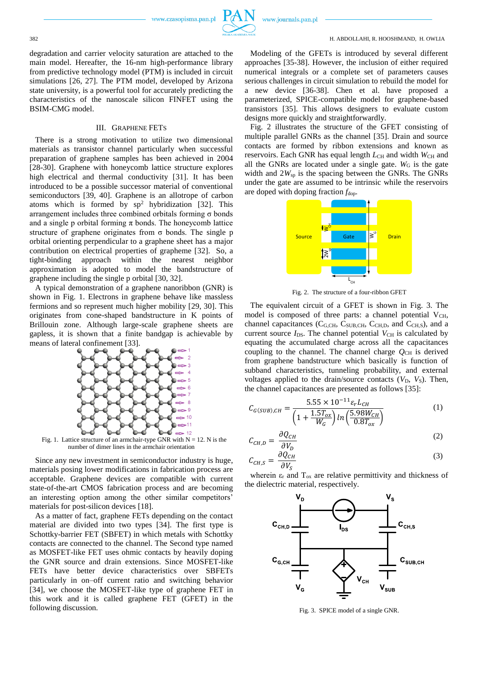

www.journals.pan.pl

382 H. ABDOLLAHI, R. HOOSHMAND, H. OWLIA

degradation and carrier velocity saturation are attached to the main model. Hereafter, the 16-nm high-performance library from predictive technology model (PTM) is included in circuit simulations [26, 27]. The PTM model, developed by Arizona state university, is a powerful tool for accurately predicting the characteristics of the nanoscale silicon FINFET using the BSIM-CMG model.

# III. GRAPHENE FETS

There is a strong motivation to utilize two dimensional materials as transistor channel particularly when successful preparation of graphene samples has been achieved in 2004 [28-30]. Graphene with honeycomb lattice structure explores high electrical and thermal conductivity [31]. It has been introduced to be a possible successor material of conventional semiconductors [39, 40]. Graphene is an allotrope of carbon atoms which is formed by  $sp^2$  hybridization [32]. This arrangement includes three combined orbitals forming σ bonds and a single p orbital forming  $\pi$  bonds. The honeycomb lattice structure of graphene originates from  $\sigma$  bonds. The single p orbital orienting perpendicular to a graphene sheet has a major contribution on electrical properties of grapheme [32]. So, a tight-binding approach within the nearest neighbor approximation is adopted to model the bandstructure of graphene including the single p orbital [30, 32].

A typical demonstration of a graphene nanoribbon (GNR) is shown in Fig. 1. Electrons in graphene behave like massless fermions and so represent much higher mobility [29, 30]. This originates from cone-shaped bandstructure in K points of Brillouin zone. Although large-scale graphene sheets are gapless, it is shown that a finite bandgap is achievable by means of lateral confinement [33].



Fig. 1. Lattice structure of an armchair-type GNR with  $N = 12$ . N is the number of dimer lines in the armchair orientation

Since any new investment in semiconductor industry is huge, materials posing lower modifications in fabrication process are acceptable. Graphene devices are compatible with current state-of-the-art CMOS fabrication process and are becoming an interesting option among the other similar competitors' materials for post-silicon devices [18].

As a matter of fact, graphene FETs depending on the contact material are divided into two types [34]. The first type is Schottky-barrier FET (SBFET) in which metals with Schottky contacts are connected to the channel. The Second type named as MOSFET-like FET uses ohmic contacts by heavily doping the GNR source and drain extensions. Since MOSFET-like FETs have better device characteristics over SBFETs particularly in on–off current ratio and switching behavior [34], we choose the MOSFET-like type of graphene FET in this work and it is called graphene FET (GFET) in the following discussion.

Modeling of the GFETs is introduced by several different approaches [35-38]. However, the inclusion of either required numerical integrals or a complete set of parameters causes serious challenges in circuit simulation to rebuild the model for a new device [36-38]. Chen et al. have proposed a parameterized, SPICE-compatible model for graphene-based transistors [35]. This allows designers to evaluate custom designs more quickly and straightforwardly.

Fig. 2 illustrates the structure of the GFET consisting of multiple parallel GNRs as the channel [35]. Drain and source contacts are formed by ribbon extensions and known as reservoirs. Each GNR has equal length  $L_{CH}$  and width  $W_{CH}$  and all the GNRs are located under a single gate.  $W<sub>G</sub>$  is the gate width and 2*W*sp is the spacing between the GNRs. The GNRs under the gate are assumed to be intrinsic while the reservoirs are doped with doping fraction  $f_{\text{dop}}$ .



Fig. 2. The structure of a four-ribbon GFET

The equivalent circuit of a GFET is shown in Fig. 3. The model is composed of three parts: a channel potential  $V_{CH}$ , channel capacitances ( $C_{G,CH}$ ,  $C_{SUB,CH}$ ,  $C_{CH,D}$ , and  $C_{CH,S}$ ), and a current source  $I_{DS}$ . The channel potential  $V_{CH}$  is calculated by equating the accumulated charge across all the capacitances coupling to the channel. The channel charge  $Q_{\text{CH}}$  is derived from graphene bandstructure which basically is function of subband characteristics, tunneling probability, and external voltages applied to the drain/source contacts  $(V_D, V_S)$ . Then, the channel capacitances are presented as follows [35]:

$$
C_{G(SUB),CH} = \frac{5.55 \times 10^{-11} \varepsilon_r L_{CH}}{\left(1 + \frac{1.5T_{ox}}{W_G}\right) \ln\left(\frac{5.98 W_{CH}}{0.8T_{ox}}\right)}\tag{1}
$$

$$
C_{CH,D} = \frac{\partial Q_{CH}}{\partial V_D} \tag{2}
$$

$$
C_{CH,S} = \frac{\partial Q_{CH}}{\partial V_S} \tag{3}
$$

wherein  $\varepsilon_r$  and  $T_{ox}$  are relative permittivity and thickness of the dielectric material, respectively.



Fig. 3. SPICE model of a single GNR.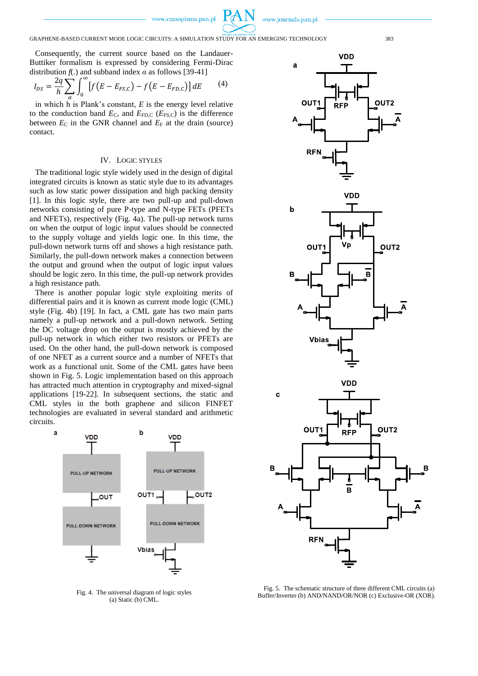www.journals.pan.pl

# GRAPHENE-BASED CURRENT MODE LOGIC CIRCUITS: A SIMULATION STUDY FOR AN EMERGING TECHNOLOGY 383

Consequently, the current source based on the Landauer-Buttiker formalism is expressed by considering Fermi-Dirac distribution  $f(.)$  and subband index  $\alpha$  as follows [39-41]

$$
I_{DS} = \frac{2q}{h} \sum_{\alpha} \int_0^{\infty} \left[ f\left(E - E_{FS,C}\right) - f\left(E - E_{FD,C}\right) \right] dE \tag{4}
$$

in which h is Plank's constant, *E* is the energy level relative to the conduction band  $E_{\text{C}}$ , and  $E_{\text{FD,C}}$  ( $E_{\text{FS,C}}$ ) is the difference between  $E_C$  in the GNR channel and  $E_F$  at the drain (source) contact.

# IV. LOGIC STYLES

The traditional logic style widely used in the design of digital integrated circuits is known as static style due to its advantages such as low static power dissipation and high packing density [1]. In this logic style, there are two pull-up and pull-down networks consisting of pure P-type and N-type FETs (PFETs and NFETs), respectively (Fig. 4a). The pull-up network turns on when the output of logic input values should be connected to the supply voltage and yields logic one. In this time, the pull-down network turns off and shows a high resistance path. Similarly, the pull-down network makes a connection between the output and ground when the output of logic input values should be logic zero. In this time, the pull-up network provides a high resistance path.

There is another popular logic style exploiting merits of differential pairs and it is known as current mode logic (CML) style (Fig. 4b) [19]. In fact, a CML gate has two main parts namely a pull-up network and a pull-down network. Setting the DC voltage drop on the output is mostly achieved by the pull-up network in which either two resistors or PFETs are used. On the other hand, the pull-down network is composed of one NFET as a current source and a number of NFETs that work as a functional unit. Some of the CML gates have been shown in Fig. 5. Logic implementation based on this approach has attracted much attention in cryptography and mixed-signal applications [19-22]. In subsequent sections, the static and CML styles in the both graphene and silicon FINFET technologies are evaluated in several standard and arithmetic circuits.



Fig. 4. The universal diagram of logic styles (a) Static (b) CML.



Fig. 5. The schematic structure of three different CML circuits (a) Buffer/Inverter (b) AND/NAND/OR/NOR (c) Exclusive-OR (XOR).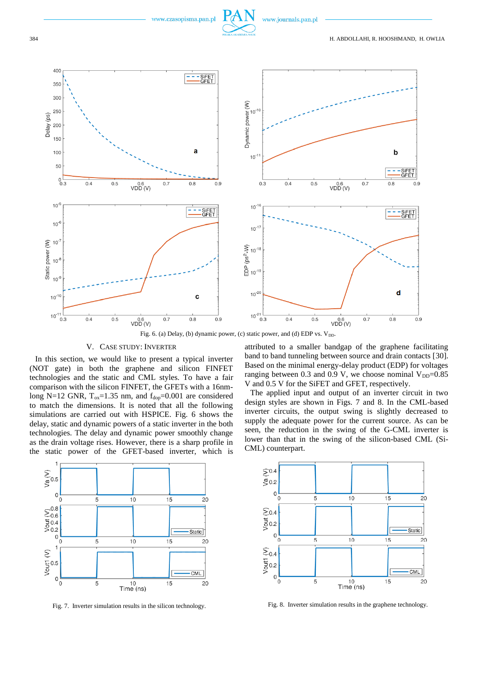



Fig. 6. (a) Delay, (b) dynamic power, (c) static power, and (d) EDP vs.  $V_{DD}$ .

### V. CASE STUDY: INVERTER

In this section, we would like to present a typical inverter (NOT gate) in both the graphene and silicon FINFET technologies and the static and CML styles. To have a fair comparison with the silicon FINFET, the GFETs with a 16nmlong N=12 GNR,  $T_{ox}$ =1.35 nm, and  $f_{dop}$ =0.001 are considered to match the dimensions. It is noted that all the following simulations are carried out with HSPICE. Fig. 6 shows the delay, static and dynamic powers of a static inverter in the both technologies. The delay and dynamic power smoothly change as the drain voltage rises. However, there is a sharp profile in the static power of the GFET-based inverter, which is

attributed to a smaller bandgap of the graphene facilitating band to band tunneling between source and drain contacts [30]. Based on the minimal energy-delay product (EDP) for voltages ranging between 0.3 and 0.9 V, we choose nominal  $V_{DD}=0.85$ V and 0.5 V for the SiFET and GFET, respectively.

The applied input and output of an inverter circuit in two design styles are shown in Figs. 7 and 8. In the CML-based inverter circuits, the output swing is slightly decreased to supply the adequate power for the current source. As can be seen, the reduction in the swing of the G-CML inverter is lower than that in the swing of the silicon-based CML (Si-CML) counterpart.





Fig. 7. Inverter simulation results in the silicon technology. Fig. 8. Inverter simulation results in the graphene technology.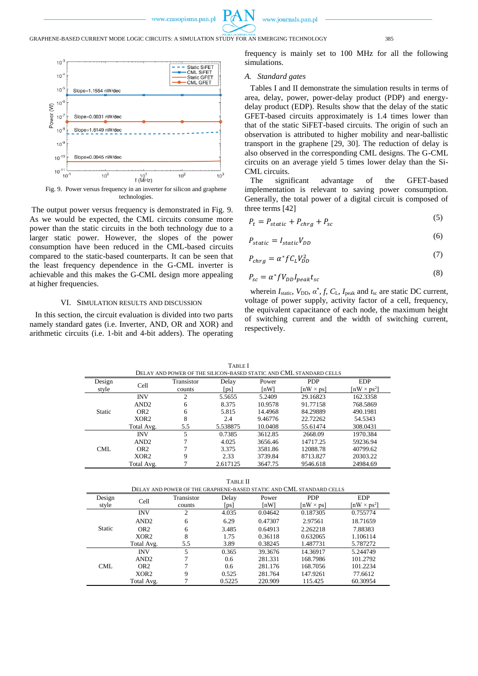

GRAPHENE-BASED CURRENT MODE LOGIC CIRCUITS: A SIMULATION STUDY FOR AN EMERGING TECHNOLOGY 385



Fig. 9. Power versus frequency in an inverter for silicon and graphene technologies.

The output power versus frequency is demonstrated in Fig. 9. As we would be expected, the CML circuits consume more power than the static circuits in the both technology due to a larger static power. However, the slopes of the power consumption have been reduced in the CML-based circuits compared to the static-based counterparts. It can be seen that the least frequency dependence in the G-CML inverter is achievable and this makes the G-CML design more appealing at higher frequencies.

# VI. SIMULATION RESULTS AND DISCUSSION

In this section, the circuit evaluation is divided into two parts namely standard gates (i.e. Inverter, AND, OR and XOR) and arithmetic circuits (i.e. 1-bit and 4-bit adders). The operating

l.

frequency is mainly set to 100 MHz for all the following simulations.

# *A. Standard gates*

Tables I and II demonstrate the simulation results in terms of area, delay, power, power-delay product (PDP) and energydelay product (EDP). Results show that the delay of the static GFET-based circuits approximately is 1.4 times lower than that of the static SiFET-based circuits. The origin of such an observation is attributed to higher mobility and near-ballistic transport in the graphene [29, 30]. The reduction of delay is also observed in the corresponding CML designs. The G-CML circuits on an average yield 5 times lower delay than the Si-CML circuits.

The significant advantage of the GFET-based implementation is relevant to saving power consumption. Generally, the total power of a digital circuit is composed of three terms [42]

$$
P_t = P_{static} + P_{chrg} + P_{sc}
$$
 (5)

$$
P_{static} = I_{static} V_{DD} \tag{6}
$$

$$
P_{chrg} = \alpha^* f C_L V_{DD}^2 \tag{7}
$$

$$
P_{sc} = \alpha^* f V_{DD} I_{peak} t_{sc} \tag{8}
$$

 $(8)$ 

wherein  $I_{static}$ ,  $V_{DD}$ ,  $\alpha^*$ ,  $f$ ,  $C_L$ ,  $I_{peak}$  and  $t_{sc}$  are static DC current, voltage of power supply, activity factor of a cell, frequency, the equivalent capacitance of each node, the maximum height of switching current and the width of switching current, respectively.

| DELAY AND POWER OF THE SILICON-BASED STATIC AND CML STANDARD CELLS |                  |            |          |         |                  |                                             |
|--------------------------------------------------------------------|------------------|------------|----------|---------|------------------|---------------------------------------------|
| Design                                                             | Cell             | Transistor | Delay    | Power   | <b>PDP</b>       | <b>EDP</b>                                  |
| style                                                              |                  | counts     | [ps]     | ſnWl    | $[nW \times ps]$ | $\left[\text{nW} \times \text{ps}^2\right]$ |
| <b>Static</b>                                                      | <b>INV</b>       | 2          | 5.5655   | 5.2409  | 29.16823         | 162.3358                                    |
|                                                                    | AND <sub>2</sub> | 6          | 8.375    | 10.9578 | 91.77158         | 768.5869                                    |
|                                                                    | OR <sub>2</sub>  | 6          | 5.815    | 14.4968 | 84.29889         | 490.1981                                    |
|                                                                    | XOR <sub>2</sub> | 8          | 2.4      | 9.46776 | 22.72262         | 54.5343                                     |
|                                                                    | Total Avg.       | 5.5        | 5.538875 | 10.0408 | 55.61474         | 308.0431                                    |
| CML                                                                | <b>INV</b>       | 5          | 0.7385   | 3612.85 | 2668.09          | 1970.384                                    |
|                                                                    | AND <sub>2</sub> | 7          | 4.025    | 3656.46 | 14717.25         | 59236.94                                    |
|                                                                    | OR <sub>2</sub>  | 7          | 3.375    | 3581.86 | 12088.78         | 40799.62                                    |
|                                                                    | XOR <sub>2</sub> | 9          | 2.33     | 3739.84 | 8713.827         | 20303.22                                    |
|                                                                    | Total Avg.       |            | 2.617125 | 3647.75 | 9546.618         | 24984.69                                    |

TABLE I

TABLE II

|               |                  |            |                           |         | DELAY AND POWER OF THE GRAPHENE-BASED STATIC AND CML STANDARD CELLS |                    |
|---------------|------------------|------------|---------------------------|---------|---------------------------------------------------------------------|--------------------|
| Design        | Cell             | Transistor | Delay                     | Power   | <b>PDP</b>                                                          | <b>EDP</b>         |
| style         |                  | counts     | $\lceil \text{ps} \rceil$ | [nW]    | $[nW \times ps]$                                                    | $[nW \times ps^2]$ |
| <b>Static</b> | <b>INV</b>       | 2          | 4.035                     | 0.04642 | 0.187305                                                            | 0.755774           |
|               | AND <sub>2</sub> | 6          | 6.29                      | 0.47307 | 2.97561                                                             | 18.71659           |
|               | OR <sub>2</sub>  | 6          | 3.485                     | 0.64913 | 2.262218                                                            | 7.88383            |
|               | XOR <sub>2</sub> | 8          | 1.75                      | 0.36118 | 0.632065                                                            | 1.106114           |
|               | Total Avg.       | 5.5        | 3.89                      | 0.38245 | 1.487731                                                            | 5.787272           |
| CML           | <b>INV</b>       | 5          | 0.365                     | 39.3676 | 14.36917                                                            | 5.244749           |
|               | AND <sub>2</sub> | 7          | 0.6                       | 281.331 | 168.7986                                                            | 101.2792           |
|               | OR <sub>2</sub>  |            | 0.6                       | 281.176 | 168.7056                                                            | 101.2234           |
|               | XOR <sub>2</sub> | 9          | 0.525                     | 281.764 | 147.9261                                                            | 77.6612            |
|               | Total Avg.       |            | 0.5225                    | 220.909 | 115.425                                                             | 60.30954           |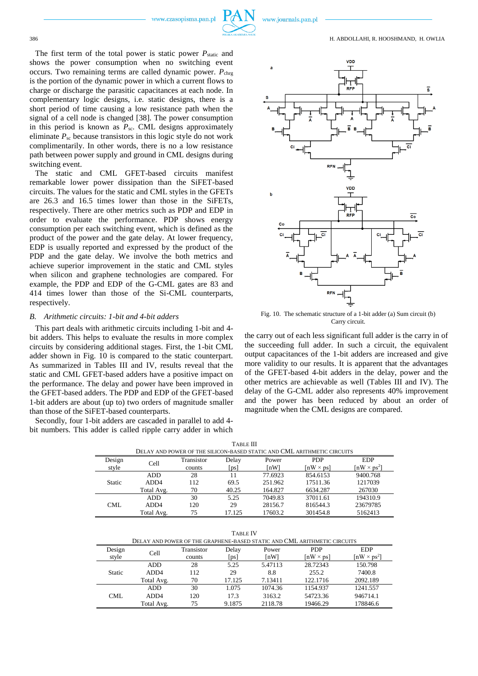The first term of the total power is static power  $P_{\text{static}}$  and shows the power consumption when no switching event occurs. Two remaining terms are called dynamic power.  $P_{\text{chrg}}$ is the portion of the dynamic power in which a current flows to charge or discharge the parasitic capacitances at each node. In complementary logic designs, i.e. static designs, there is a short period of time causing a low resistance path when the signal of a cell node is changed [38]. The power consumption in this period is known as  $P_{sc}$ . CML designs approximately eliminate  $P_{\rm sc}$  because transistors in this logic style do not work complimentarily. In other words, there is no a low resistance path between power supply and ground in CML designs during switching event.

The static and CML GFET-based circuits manifest remarkable lower power dissipation than the SiFET-based circuits. The values for the static and CML styles in the GFETs are 26.3 and 16.5 times lower than those in the SiFETs, respectively. There are other metrics such as PDP and EDP in order to evaluate the performance. PDP shows energy consumption per each switching event, which is defined as the product of the power and the gate delay. At lower frequency, EDP is usually reported and expressed by the product of the PDP and the gate delay. We involve the both metrics and achieve superior improvement in the static and CML styles when silicon and graphene technologies are compared. For example, the PDP and EDP of the G-CML gates are 83 and 414 times lower than those of the Si-CML counterparts, respectively.

#### *B. Arithmetic circuits: 1-bit and 4-bit adders*

This part deals with arithmetic circuits including 1-bit and 4 bit adders. This helps to evaluate the results in more complex circuits by considering additional stages. First, the 1-bit CML adder shown in Fig. 10 is compared to the static counterpart. As summarized in Tables III and IV, results reveal that the static and CML GFET-based adders have a positive impact on the performance. The delay and power have been improved in the GFET-based adders. The PDP and EDP of the GFET-based 1-bit adders are about (up to) two orders of magnitude smaller than those of the SiFET-based counterparts.

Secondly, four 1-bit adders are cascaded in parallel to add 4 bit numbers. This adder is called ripple carry adder in which



Fig. 10. The schematic structure of a 1-bit adder (a) Sum circuit (b) Carry circuit.

the carry out of each less significant full adder is the carry in of the succeeding full adder. In such a circuit, the equivalent output capacitances of the 1-bit adders are increased and give more validity to our results. It is apparent that the advantages of the GFET-based 4-bit adders in the delay, power and the other metrics are achievable as well (Tables III and IV). The delay of the G-CML adder also represents 40% improvement and the power has been reduced by about an order of magnitude when the CML designs are compared.

| LABLE III.<br>DELAY AND POWER OF THE SILICON-BASED STATIC AND CML ARITHMETIC CIRCUITS |                  |            |        |         |                  |                                |
|---------------------------------------------------------------------------------------|------------------|------------|--------|---------|------------------|--------------------------------|
| Design                                                                                | Cell             | Transistor | Delay  | Power   | <b>PDP</b>       | <b>EDP</b>                     |
| style                                                                                 |                  | counts     | [ps]   | ſnWl    | $[nW \times ps]$ | $\lceil nW \times ps^2 \rceil$ |
| <b>Static</b>                                                                         | <b>ADD</b>       | 28         | 11     | 77.6923 | 854.6153         | 9400.768                       |
|                                                                                       | ADD <sub>4</sub> | 112        | 69.5   | 251.962 | 17511.36         | 1217039                        |
|                                                                                       | Total Avg.       | 70         | 40.25  | 164.827 | 6634.287         | 267030                         |
| CML                                                                                   | <b>ADD</b>       | 30         | 5.25   | 7049.83 | 37011.61         | 194310.9                       |
|                                                                                       | ADD <sub>4</sub> | 120        | 29     | 28156.7 | 816544.3         | 23679785                       |
|                                                                                       | Total Avg.       | 75         | 17.125 | 17603.2 | 301454.8         | 5162413                        |

TABLE III

TABLE IV

| . <i>.</i>                                                               |                  |            |        |         |                  |                                |
|--------------------------------------------------------------------------|------------------|------------|--------|---------|------------------|--------------------------------|
| DELAY AND POWER OF THE GRAPHENE-BASED STATIC AND CML ARITHMETIC CIRCUITS |                  |            |        |         |                  |                                |
| Design                                                                   |                  | Transistor | Delay  | Power   | <b>PDP</b>       | <b>EDP</b>                     |
| style                                                                    | Cell             | counts     | [ps]   | [nW]    | $[nW \times ps]$ | $\lceil nW \times ps^2 \rceil$ |
|                                                                          | <b>ADD</b>       | 28         | 5.25   | 5.47113 | 28.72343         | 150.798                        |
| <b>Static</b>                                                            | ADD <sub>4</sub> | 112        | 29     | 8.8     | 255.2            | 7400.8                         |
|                                                                          | Total Avg.       | 70         | 17.125 | 7.13411 | 122.1716         | 2092.189                       |
| CML                                                                      | <b>ADD</b>       | 30         | 1.075  | 1074.36 | 1154.937         | 1241.557                       |
|                                                                          | ADD <sub>4</sub> | 120        | 17.3   | 3163.2  | 54723.36         | 946714.1                       |
|                                                                          | Total Avg.       | 75         | 9.1875 | 2118.78 | 19466.29         | 178846.6                       |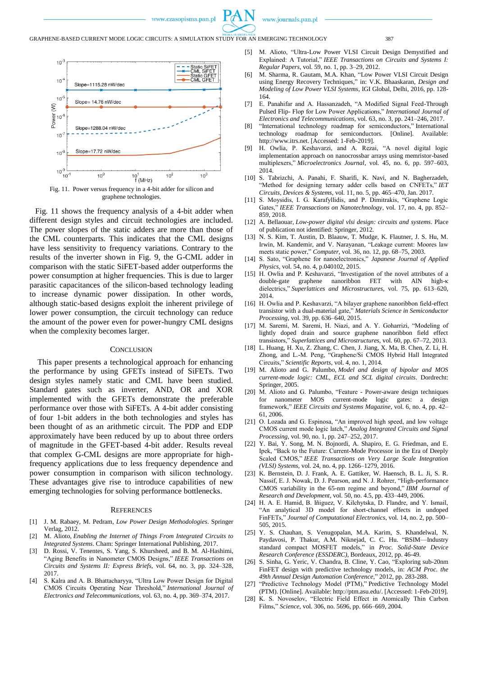

GRAPHENE-BASED CURRENT MODE LOGIC CIRCUITS: A SIMULATION STUDY FOR AN EMERGING TECHNOLOGY 387



Fig. 11. Power versus frequency in a 4-bit adder for silicon and graphene technologies.

Fig. 11 shows the frequency analysis of a 4-bit adder when different design styles and circuit technologies are included. The power slopes of the static adders are more than those of the CML counterparts. This indicates that the CML designs have less sensitivity to frequency variations. Contrary to the results of the inverter shown in Fig. 9, the G-CML adder in comparison with the static SiFET-based adder outperforms the power consumption at higher frequencies. This is due to larger parasitic capacitances of the silicon-based technology leading to increase dynamic power dissipation. In other words, although static-based designs exploit the inherent privilege of lower power consumption, the circuit technology can reduce the amount of the power even for power-hungry CML designs when the complexity becomes larger.

# **CONCLUSION**

This paper presents a technological approach for enhancing the performance by using GFETs instead of SiFETs. Two design styles namely static and CML have been studied. Standard gates such as inverter, AND, OR and XOR implemented with the GFETs demonstrate the preferable performance over those with SiFETs. A 4-bit adder consisting of four 1-bit adders in the both technologies and styles has been thought of as an arithmetic circuit. The PDP and EDP approximately have been reduced by up to about three orders of magnitude in the GFET-based 4-bit adder. Results reveal that complex G-CML designs are more appropriate for highfrequency applications due to less frequency dependence and power consumption in comparison with silicon technology. These advantages give rise to introduce capabilities of new emerging technologies for solving performance bottlenecks.

#### **REFERENCES**

- [1] J. M. Rabaey, M. Pedram*, Low Power Design Methodologies*. Springer Verlag, 2012.
- [2] M. Alioto, *Enabling the Internet of Things From Integrated Circuits to Integrated Systems*. Cham: Springer International Publishing, 2017.
- [3] D. Rossi, V. Tenentes, S. Yang, S. Khursheed, and B. M. Al-Hashimi, "Aging Benefits in Nanometer CMOS Designs," *IEEE Transactions on Circuits and Systems II: Express Briefs*, vol. 64, no. 3, pp. 324–328, 2017.
- [4] S. Kalra and A. B. Bhattacharyya, "Ultra Low Power Design for Digital CMOS Circuits Operating Near Threshold," *International Journal of Electronics and Telecommunications*, vol. 63, no. 4, pp. 369–374, 2017.
- [5] M. Alioto, "Ultra-Low Power VLSI Circuit Design Demystified and Explained: A Tutorial," *IEEE Transactions on Circuits and Systems I: Regular Papers*, vol. 59, no. 1, pp. 3–29, 2012.
- [6] M. Sharma, R. Gautam, M.A. Khan, "Low Power VLSI Circuit Design using Energy Recovery Techniques," in: V.K. Bhaaskaran, *Design and Modeling of Low Power VLSI Systems*, IGI Global, Delhi, 2016, pp. 128- 164.
- [7] E. Panahifar and A. Hassanzadeh, "A Modified Signal Feed-Through Pulsed Flip- Flop for Low Power Applications," *International Journal of Electronics and Telecommunications*, vol. 63, no. 3, pp. 241–246, 2017.
- [8] "International technology roadmap for semiconductors," International technology roadmap for semiconductors. [Online]. Available: http://www.itrs.net. [Accessed: 1-Feb-2019].
- H. Owlia, P. Keshavarzi, and A. Rezai, "A novel digital logic implementation approach on nanocrossbar arrays using memristor-based multiplexers," *Microelectronics Journal*, vol. 45, no. 6, pp. 597–603, 2014.
- [10] S. Tabrizchi, A. Panahi, F. Sharifi, K. Navi, and N. Bagherzadeh, "Method for designing ternary adder cells based on CNFETs," *IET Circuits, Devices & Systems*, vol. 11, no. 5, pp. 465–470, Jan. 2017.
- [11] S. Moysidis, I. G. Karafyllidis, and P. Dimitrakis, "Graphene Logic Gates," *IEEE Transactions on Nanotechnology*, vol. 17, no. 4, pp. 852– 859, 2018.
- [12] A. Bellaouar, *Low-power digital vlsi design: circuits and systems*. Place of publication not identified: Springer, 2012.
- [13] N. S. Kim, T. Austin, D. Blaauw, T. Mudge, K. Flautner, J. S. Hu, M. Irwin, M. Kandemir, and V. Narayanan, "Leakage current: Moores law meets static power," *Computer*, vol. 36, no. 12, pp. 68–75, 2003.
- [14] S. Sato, "Graphene for nanoelectronics," *Japanese Journal of Applied Physics*, vol. 54, no. 4, p.040102, 2015.
- [15] H. Owlia and P. Keshavarzi, "Investigation of the novel attributes of a double-gate graphene nanoribbon FET with AlN high-κ dielectrics," *Superlattices and Microstructures*, vol. 75, pp. 613–620, 2014.
- [16] H. Owlia and P. Keshavarzi, "A bilayer graphene nanoribbon field-effect transistor with a dual-material gate," *Materials Science in Semiconductor Processing*, vol. 39, pp. 636–640, 2015.
- [17] M. Saremi, M. Saremi, H. Niazi, and A. Y. Goharrizi, "Modeling of lightly doped drain and source graphene nanoribbon field effect transistors," *Superlattices and Microstructures*, vol. 60, pp. 67–72, 2013.
- [18] L. Huang, H. Xu, Z. Zhang, C. Chen, J. Jiang, X. Ma, B. Chen, Z. Li, H. Zhong, and L.-M. Peng, "Graphene/Si CMOS Hybrid Hall Integrated Circuits," *Scientific Reports*, vol. 4, no. 1, 2014.
- [19] M. Alioto and G. Palumbo, *Model and design of bipolar and MOS current-mode logic: CML, ECL and SCL digital circuits*. Dordrecht: Springer, 2005.
- [20] M. Alioto and G. Palumbo, "Feature Power-aware design techniques for nanometer MOS current-mode logic gates: a design framework," *IEEE Circuits and Systems Magazine*, vol. 6, no. 4, pp. 42– 61, 2006.
- [21] O. Lozada and G. Espinosa, "An improved high speed, and low voltage CMOS current mode logic latch," *Analog Integrated Circuits and Signal Processing*, vol. 90, no. 1, pp. 247–252, 2017.
- [22] Y. Bai, Y. Song, M. N. Bojnordi, A. Shapiro, E. G. Friedman, and E. Ipek, "Back to the Future: Current-Mode Processor in the Era of Deeply Scaled CMOS," *IEEE Transactions on Very Large Scale Integration (VLSI) Systems*, vol. 24, no. 4, pp. 1266–1279, 2016.
- [23] K. Bernstein, D. J. Frank, A. E. Gattiker, W. Haensch, B. L. Ji, S. R. Nassif, E. J. Nowak, D. J. Pearson, and N. J. Rohrer, "High-performance CMOS variability in the 65-nm regime and beyond," *IBM Journal of Research and Development*, vol. 50, no. 4.5, pp. 433–449, 2006.
- [24] H. A. E. Hamid, B. Iñiguez, V. Kilchytska, D. Flandre, and Y. Ismail, "An analytical 3D model for short-channel effects in undoped FinFETs," *Journal of Computational Electronics*, vol. 14, no. 2, pp. 500– 505, 2015.
- [25] Y. S. Chauhan, S. Venugopalan, M.A. Karim, S. Khandelwal, N. Paydavosi, P. Thakur, A.M. Niknejad, C. C. Hu. "BSIM—Industry standard compact MOSFET models," in *Proc. Solid-State Device Research Conference (ESSDERC)*, Bordeaux, 2012, pp. 46-49.
- [26] S. Sinha, G. Yeric, V. Chandra, B. Cline, Y. Cao, "Exploring sub-20nm FinFET design with predictive technology models, in: *ACM Proc. the 49th Annual Design Automation Conference*," 2012, pp. 283-288.
- [27] "Predictive Technology Model (PTM)," Predictive Technology Model (PTM). [Online]. Available: http://ptm.asu.edu/. [Accessed: 1-Feb-2019].
- [28] K. S. Novoselov, "Electric Field Effect in Atomically Thin Carbon Films," *Science*, vol. 306, no. 5696, pp. 666–669, 2004.